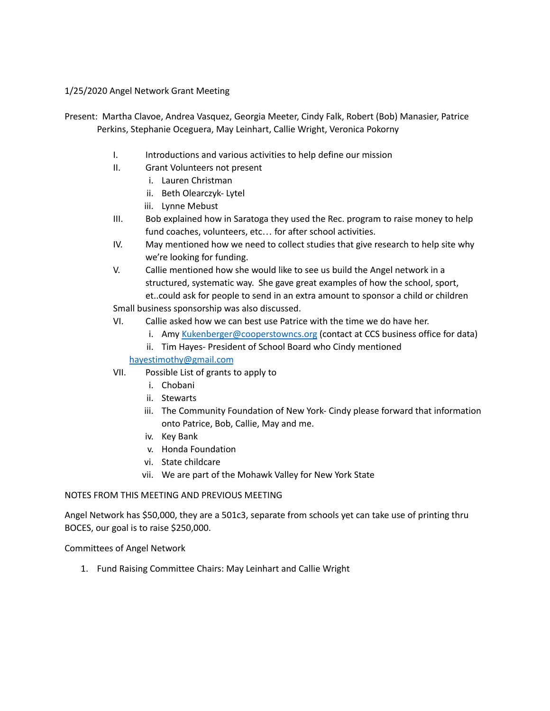## 1/25/2020 Angel Network Grant Meeting

- Present: Martha Clavoe, Andrea Vasquez, Georgia Meeter, Cindy Falk, Robert (Bob) Manasier, Patrice Perkins, Stephanie Oceguera, May Leinhart, Callie Wright, Veronica Pokorny
	- I. Introductions and various activities to help define our mission
	- II. Grant Volunteers not present
		- i. Lauren Christman
		- ii. Beth Olearczyk- Lytel
		- iii. Lynne Mebust
	- III. Bob explained how in Saratoga they used the Rec. program to raise money to help fund coaches, volunteers, etc… for after school activities.
	- IV. May mentioned how we need to collect studies that give research to help site why we're looking for funding.
	- V. Callie mentioned how she would like to see us build the Angel network in a structured, systematic way. She gave great examples of how the school, sport, et..could ask for people to send in an extra amount to sponsor a child or children

Small business sponsorship was also discussed.

- VI. Callie asked how we can best use Patrice with the time we do have her.
	- i. Amy [Kukenberger@cooperstowncs.org](mailto:Kukenberger@cooperstowncs.org) (contact at CCS business office for data)
	- ii. Tim Hayes- President of School Board who Cindy mentioned

[hayestimothy@gmail.com](mailto:hayestimothy@gmail.com)

- VII. Possible List of grants to apply to
	- i. Chobani
	- ii. Stewarts
	- iii. The Community Foundation of New York- Cindy please forward that information onto Patrice, Bob, Callie, May and me.
	- iv. Key Bank
	- v. Honda Foundation
	- vi. State childcare
	- vii. We are part of the Mohawk Valley for New York State

## NOTES FROM THIS MEETING AND PREVIOUS MEETING

Angel Network has \$50,000, they are a 501c3, separate from schools yet can take use of printing thru BOCES, our goal is to raise \$250,000.

Committees of Angel Network

1. Fund Raising Committee Chairs: May Leinhart and Callie Wright